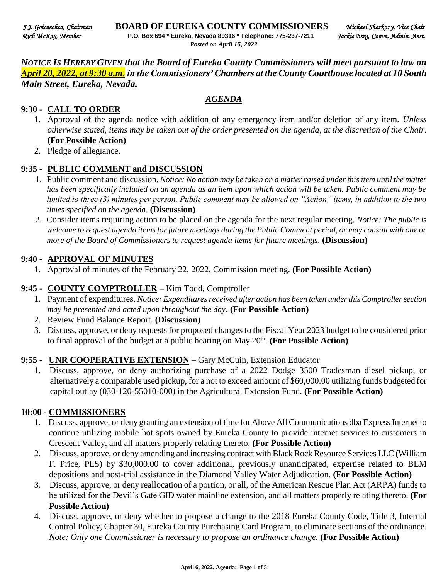*NOTICE IS HEREBY GIVEN that the Board of Eureka County Commissioners will meet pursuant to law on April 20, 2022, at 9:30 a.m. in the Commissioners' Chambers at the County Courthouse located at 10 South Main Street, Eureka, Nevada.* 

*AGENDA*

#### **9:30 - CALL TO ORDER**

- 1. Approval of the agenda notice with addition of any emergency item and/or deletion of any item. *Unless otherwise stated, items may be taken out of the order presented on the agenda, at the discretion of the Chair.* **(For Possible Action)**
- 2. Pledge of allegiance.

#### **9:35 - PUBLIC COMMENT and DISCUSSION**

- 1. Public comment and discussion. *Notice: No action may be taken on a matter raised under this item until the matter has been specifically included on an agenda as an item upon which action will be taken. Public comment may be limited to three (3) minutes per person. Public comment may be allowed on "Action" items, in addition to the two times specified on the agenda.* **(Discussion)**
- 2. Consider items requiring action to be placed on the agenda for the next regular meeting. *Notice: The public is*  welcome to request agenda items for future meetings during the Public Comment period, or may consult with one or *more of the Board of Commissioners to request agenda items for future meetings*. **(Discussion)**

#### **9:40 - APPROVAL OF MINUTES**

1. Approval of minutes of the February 22, 2022, Commission meeting. **(For Possible Action)** 

#### **9:45 - COUNTY COMPTROLLER –** Kim Todd, Comptroller

- 1. Payment of expenditures. *Notice: Expenditures received after action has been taken under this Comptroller section may be presented and acted upon throughout the day.* **(For Possible Action)**
- 2. Review Fund Balance Report. **(Discussion)**
- 3. Discuss, approve, or deny requests for proposed changes to the Fiscal Year 2023 budget to be considered prior to final approval of the budget at a public hearing on May  $20<sup>th</sup>$ . (For Possible Action)

#### **9:55 - UNR COOPERATIVE EXTENSION** – Gary McCuin, Extension Educator

1. Discuss, approve, or deny authorizing purchase of a 2022 Dodge 3500 Tradesman diesel pickup, or alternatively a comparable used pickup, for a not to exceed amount of \$60,000.00 utilizing funds budgeted for capital outlay (030-120-55010-000) in the Agricultural Extension Fund. **(For Possible Action)** 

### **10:00 - COMMISSIONERS**

- 1. Discuss, approve, or deny granting an extension of time for Above All Communications dba Express Internet to continue utilizing mobile hot spots owned by Eureka County to provide internet services to customers in Crescent Valley, and all matters properly relating thereto. **(For Possible Action)**
- 2. Discuss, approve, or deny amending and increasing contract with Black Rock Resource Services LLC (William F. Price, PLS) by \$30,000.00 to cover additional, previously unanticipated, expertise related to BLM depositions and post-trial assistance in the Diamond Valley Water Adjudication. **(For Possible Action)**
- 3. Discuss, approve, or deny reallocation of a portion, or all, of the American Rescue Plan Act (ARPA) funds to be utilized for the Devil's Gate GID water mainline extension, and all matters properly relating thereto. **(For Possible Action)**
- 4. Discuss, approve, or deny whether to propose a change to the 2018 Eureka County Code, Title 3, Internal Control Policy, Chapter 30, Eureka County Purchasing Card Program, to eliminate sections of the ordinance. *Note: Only one Commissioner is necessary to propose an ordinance change.* (For Possible Action)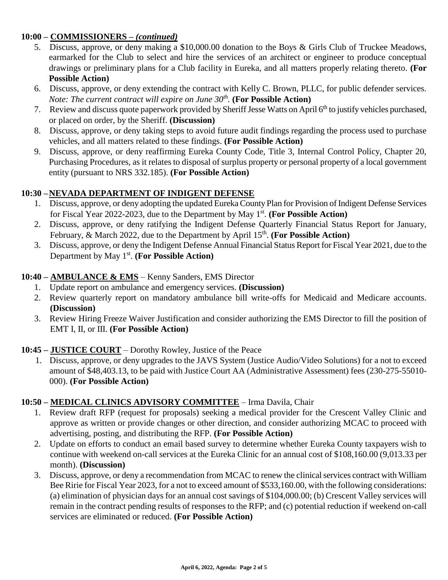# **10:00 – COMMISSIONERS –** *(continued)*

- 5. Discuss, approve, or deny making a \$10,000.00 donation to the Boys & Girls Club of Truckee Meadows, earmarked for the Club to select and hire the services of an architect or engineer to produce conceptual drawings or preliminary plans for a Club facility in Eureka, and all matters properly relating thereto. **(For Possible Action)**
- 6. Discuss, approve, or deny extending the contract with Kelly C. Brown, PLLC, for public defender services. *Note: The current contract will expire on June 30th .* **(For Possible Action)**
- 7. Review and discuss quote paperwork provided by Sheriff Jesse Watts on April 6<sup>th</sup> to justify vehicles purchased, or placed on order, by the Sheriff. **(Discussion)**
- 8. Discuss, approve, or deny taking steps to avoid future audit findings regarding the process used to purchase vehicles, and all matters related to these findings. **(For Possible Action)**
- 9. Discuss, approve, or deny reaffirming Eureka County Code, Title 3, Internal Control Policy, Chapter 20, Purchasing Procedures, as it relates to disposal of surplus property or personal property of a local government entity (pursuant to NRS 332.185). **(For Possible Action)**

# **10:30 –NEVADA DEPARTMENT OF INDIGENT DEFENSE**

- 1. Discuss, approve, or deny adopting the updated Eureka County Plan for Provision of Indigent Defense Services for Fiscal Year 2022-2023, due to the Department by May 1<sup>st</sup>. (For Possible Action)
- 2. Discuss, approve, or deny ratifying the Indigent Defense Quarterly Financial Status Report for January, February, & March 2022, due to the Department by April 15<sup>th</sup>. (For Possible Action)
- 3. Discuss, approve, or deny the Indigent Defense Annual Financial Status Report for Fiscal Year 2021, due to the Department by May 1<sup>st</sup>. (For Possible Action)

# **10:40 – AMBULANCE & EMS** – Kenny Sanders, EMS Director

- 1. Update report on ambulance and emergency services. **(Discussion)**
- 2. Review quarterly report on mandatory ambulance bill write-offs for Medicaid and Medicare accounts. **(Discussion)**
- 3. Review Hiring Freeze Waiver Justification and consider authorizing the EMS Director to fill the position of EMT I, II, or III. **(For Possible Action)**

### **10:45 – JUSTICE COURT** – Dorothy Rowley, Justice of the Peace

1. Discuss, approve, or deny upgrades to the JAVS System (Justice Audio/Video Solutions) for a not to exceed amount of \$48,403.13, to be paid with Justice Court AA (Administrative Assessment) fees (230-275-55010- 000). **(For Possible Action)** 

# **10:50 – MEDICAL CLINICS ADVISORY COMMITTEE** – Irma Davila, Chair

- 1. Review draft RFP (request for proposals) seeking a medical provider for the Crescent Valley Clinic and approve as written or provide changes or other direction, and consider authorizing MCAC to proceed with advertising, posting, and distributing the RFP. **(For Possible Action)**
- 2. Update on efforts to conduct an email based survey to determine whether Eureka County taxpayers wish to continue with weekend on-call services at the Eureka Clinic for an annual cost of \$108,160.00 (9,013.33 per month). **(Discussion)**
- 3. Discuss, approve, or deny a recommendation from MCAC to renew the clinical services contract with William Bee Ririe for Fiscal Year 2023, for a not to exceed amount of \$533,160.00, with the following considerations: (a) elimination of physician days for an annual cost savings of \$104,000.00; (b) Crescent Valley services will remain in the contract pending results of responses to the RFP; and (c) potential reduction if weekend on-call services are eliminated or reduced. **(For Possible Action)**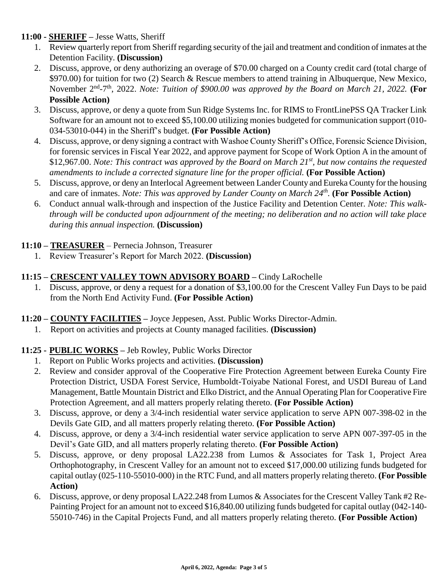### **11:00 - SHERIFF –** Jesse Watts, Sheriff

- 1. Review quarterly report from Sheriff regarding security of the jail and treatment and condition of inmates at the Detention Facility. **(Discussion)**
- 2. Discuss, approve, or deny authorizing an overage of \$70.00 charged on a County credit card (total charge of \$970.00) for tuition for two (2) Search & Rescue members to attend training in Albuquerque, New Mexico, November 2<sup>nd</sup>-7<sup>th</sup>, 2022. *Note: Tuition of \$900.00 was approved by the Board on March 21, 2022.* (For **Possible Action)**
- 3. Discuss, approve, or deny a quote from Sun Ridge Systems Inc. for RIMS to FrontLinePSS QA Tracker Link Software for an amount not to exceed \$5,100.00 utilizing monies budgeted for communication support (010- 034-53010-044) in the Sheriff's budget. **(For Possible Action)**
- 4. Discuss, approve, or deny signing a contract with Washoe County Sheriff's Office, Forensic Science Division, for forensic services in Fiscal Year 2022, and approve payment for Scope of Work Option A in the amount of \$12,967.00. *Note: This contract was approved by the Board on March 21st, but now contains the requested amendments to include a corrected signature line for the proper official.* **(For Possible Action)**
- 5. Discuss, approve, or deny an Interlocal Agreement between Lander County and Eureka County for the housing and care of inmates. *Note: This was approved by Lander County on March 24th .* **(For Possible Action)**
- 6. Conduct annual walk-through and inspection of the Justice Facility and Detention Center. *Note: This walkthrough will be conducted upon adjournment of the meeting; no deliberation and no action will take place during this annual inspection.* **(Discussion)**

# **11:10 – TREASURER** – Pernecia Johnson, Treasurer

1. Review Treasurer's Report for March 2022. **(Discussion)** 

### **11:15 – CRESCENT VALLEY TOWN ADVISORY BOARD –** Cindy LaRochelle

- 1. Discuss, approve, or deny a request for a donation of \$3,100.00 for the Crescent Valley Fun Days to be paid from the North End Activity Fund. **(For Possible Action)**
- **11:20 – COUNTY FACILITIES –** Joyce Jeppesen, Asst. Public Works Director-Admin.
	- 1. Report on activities and projects at County managed facilities. **(Discussion)**

# **11:25 - PUBLIC WORKS –** Jeb Rowley, Public Works Director

- 1. Report on Public Works projects and activities. **(Discussion)**
- 2. Review and consider approval of the Cooperative Fire Protection Agreement between Eureka County Fire Protection District, USDA Forest Service, Humboldt-Toiyabe National Forest, and USDI Bureau of Land Management, Battle Mountain District and Elko District, and the Annual Operating Plan for Cooperative Fire Protection Agreement, and all matters properly relating thereto. **(For Possible Action)**
- 3. Discuss, approve, or deny a 3/4-inch residential water service application to serve APN 007-398-02 in the Devils Gate GID, and all matters properly relating thereto. **(For Possible Action)**
- 4. Discuss, approve, or deny a 3/4-inch residential water service application to serve APN 007-397-05 in the Devil's Gate GID, and all matters properly relating thereto. **(For Possible Action)**
- 5. Discuss, approve, or deny proposal LA22.238 from Lumos & Associates for Task 1, Project Area Orthophotography, in Crescent Valley for an amount not to exceed \$17,000.00 utilizing funds budgeted for capital outlay (025-110-55010-000) in the RTC Fund, and all matters properly relating thereto. **(For Possible Action)**
- 6. Discuss, approve, or deny proposal LA22.248 from Lumos & Associates for the Crescent Valley Tank #2 Re-Painting Project for an amount not to exceed \$16,840.00 utilizing funds budgeted for capital outlay (042-140- 55010-746) in the Capital Projects Fund, and all matters properly relating thereto. **(For Possible Action)**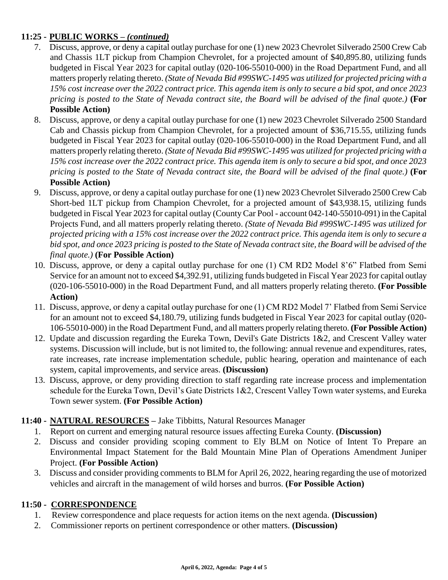# **11:25 - PUBLIC WORKS –** *(continued)*

- 7. Discuss, approve, or deny a capital outlay purchase for one (1) new 2023 Chevrolet Silverado 2500 Crew Cab and Chassis 1LT pickup from Champion Chevrolet, for a projected amount of \$40,895.80, utilizing funds budgeted in Fiscal Year 2023 for capital outlay (020-106-55010-000) in the Road Department Fund, and all matters properly relating thereto. *(State of Nevada Bid #99SWC-1495 was utilized for projected pricing with a 15% cost increase over the 2022 contract price. This agenda item is only to secure a bid spot, and once 2023 pricing is posted to the State of Nevada contract site, the Board will be advised of the final quote.)* **(For Possible Action)**
- 8. Discuss, approve, or deny a capital outlay purchase for one (1) new 2023 Chevrolet Silverado 2500 Standard Cab and Chassis pickup from Champion Chevrolet, for a projected amount of \$36,715.55, utilizing funds budgeted in Fiscal Year 2023 for capital outlay (020-106-55010-000) in the Road Department Fund, and all matters properly relating thereto. *(State of Nevada Bid #99SWC-1495 was utilized for projected pricing with a 15% cost increase over the 2022 contract price. This agenda item is only to secure a bid spot, and once 2023 pricing is posted to the State of Nevada contract site, the Board will be advised of the final quote.)* **(For Possible Action)**
- 9. Discuss, approve, or deny a capital outlay purchase for one (1) new 2023 Chevrolet Silverado 2500 Crew Cab Short-bed 1LT pickup from Champion Chevrolet, for a projected amount of \$43,938.15, utilizing funds budgeted in Fiscal Year 2023 for capital outlay (County Car Pool - account 042-140-55010-091) in the Capital Projects Fund, and all matters properly relating thereto. *(State of Nevada Bid #99SWC-1495 was utilized for projected pricing with a 15% cost increase over the 2022 contract price. This agenda item is only to secure a bid spot, and once 2023 pricing is posted to the State of Nevada contract site, the Board will be advised of the final quote.)* **(For Possible Action)**
- 10. Discuss, approve, or deny a capital outlay purchase for one (1) CM RD2 Model 8'6" Flatbed from Semi Service for an amount not to exceed \$4,392.91, utilizing funds budgeted in Fiscal Year 2023 for capital outlay (020-106-55010-000) in the Road Department Fund, and all matters properly relating thereto. **(For Possible Action)**
- 11. Discuss, approve, or deny a capital outlay purchase for one (1) CM RD2 Model 7' Flatbed from Semi Service for an amount not to exceed \$4,180.79, utilizing funds budgeted in Fiscal Year 2023 for capital outlay (020- 106-55010-000) in the Road Department Fund, and all matters properly relating thereto. **(For Possible Action)**
- 12. Update and discussion regarding the Eureka Town, Devil's Gate Districts 1&2, and Crescent Valley water systems. Discussion will include, but is not limited to, the following: annual revenue and expenditures, rates, rate increases, rate increase implementation schedule, public hearing, operation and maintenance of each system, capital improvements, and service areas. **(Discussion)**
- 13. Discuss, approve, or deny providing direction to staff regarding rate increase process and implementation schedule for the Eureka Town, Devil's Gate Districts 1&2, Crescent Valley Town water systems, and Eureka Town sewer system. **(For Possible Action)**

# **11:40 - NATURAL RESOURCES –** Jake Tibbitts, Natural Resources Manager

- 1. Report on current and emerging natural resource issues affecting Eureka County. **(Discussion)**
- 2. Discuss and consider providing scoping comment to Ely BLM on Notice of Intent To Prepare an Environmental Impact Statement for the Bald Mountain Mine Plan of Operations Amendment Juniper Project. **(For Possible Action)**
- 3. Discuss and consider providing comments to BLM for April 26, 2022, hearing regarding the use of motorized vehicles and aircraft in the management of wild horses and burros. **(For Possible Action)**

### **11:50 - CORRESPONDENCE**

- 1. Review correspondence and place requests for action items on the next agenda. **(Discussion)**
- 2. Commissioner reports on pertinent correspondence or other matters. **(Discussion)**